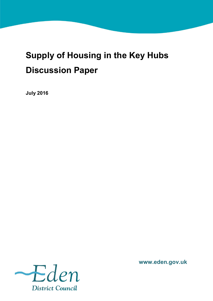# **Supply of Housing in the Key Hubs Discussion Paper**

**July 2016**



**www.eden.gov.uk**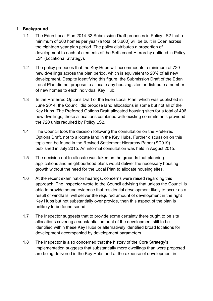# **1. Background**

- 1.1 The Eden Local Plan 2014-32 Submission Draft proposes in Policy LS2 that a minimum of 200 homes per year (a total of 3,600) will be built in Eden across the eighteen year plan period. The policy distributes a proportion of development to each of elements of the Settlement Hierarchy outlined in Policy LS1 (Locational Strategy).
- 1.2 The policy proposes that the Key Hubs will accommodate a minimum of 720 new dwellings across the plan period, which is equivalent to 20% of all new development. Despite identifying this figure, the Submission Draft of the Eden Local Plan did not propose to allocate any housing sites or distribute a number of new homes to each individual Key Hub.
- 1.3 In the Preferred Options Draft of the Eden Local Plan, which was published in June 2014, the Council did propose land allocations in some but not all of the Key Hubs. The Preferred Options Draft allocated housing sites for a total of 406 new dwellings, these allocations combined with existing commitments provided the 720 units required by Policy LS2.
- 1.4 The Council took the decision following the consultation on the Preferred Options Draft, not to allocate land in the Key Hubs. Further discussion on this topic can be found in the Revised Settlement Hierarchy Paper (SD019) published in July 2015. An informal consultation was held in August 2015.
- 1.5 The decision not to allocate was taken on the grounds that planning applications and neighbourhood plans would deliver the necessary housing growth without the need for the Local Plan to allocate housing sites.
- 1.6 At the recent examination hearings, concerns were raised regarding this approach. The Inspector wrote to the Council advising that unless the Council is able to provide sound evidence that residential development likely to occur as a result of windfalls, will deliver the required amount of development in the right Key Hubs but not substantially over provide, then this aspect of the plan is unlikely to be found sound.
- 1.7 The Inspector suggests that to provide some certainty there ought to be site allocations covering a substantial amount of the development still to be identified within these Key Hubs or alternatively identified broad locations for development accompanied by development parameters.
- 1.8 The Inspector is also concerned that the history of the Core Strategy's implementation suggests that substantially more dwellings than were proposed are being delivered in the Key Hubs and at the expense of development in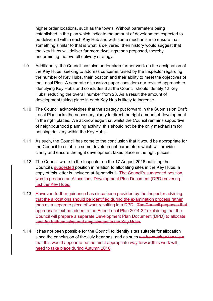higher order locations, such as the towns. Without parameters being established in the plan which indicate the amount of development expected to be delivered within each Key Hub and with some mechanism to ensure that something similar to that is what is delivered, then history would suggest that the Key Hubs will deliver far more dwellings than proposed, thereby undermining the overall delivery strategy.

- 1.9 Additionally, the Council has also undertaken further work on the designation of the Key Hubs, seeking to address concerns raised by the Inspector regarding the number of Key Hubs, their location and their ability to meet the objectives of the Local Plan. A separate discussion paper considers our revised approach to identifying Key Hubs and concludes that the Council should identify 12 Key Hubs, reducing the overall number from 28. As a result the amount of development taking place in each Key Hub is likely to increase.
- 1.10 The Council acknowledges that the strategy put forward in the Submission Draft Local Plan lacks the necessary clarity to direct the right amount of development in the right places. We acknowledge that whilst the Council remains supportive of neighbourhood planning activity, this should not be the only mechanism for housing delivery within the Key Hubs.
- 1.11 As such, the Council has come to the conclusion that it would be appropriate for the Council to establish some development parameters which will provide clarity and ensure the right development takes place in the right places.
- 1.12 The Council wrote to the Inspector on the 17 August 2016 outlining the Council's suggested position in relation to allocating sites in the Key Hubs, a copy of this letter is included at Appendix 1. The Council's suggested position was to produce an Allocations Development Plan Document (DPD) covering just the Key Hubs.
- 1.13 However, further guidance has since been provided by the Inspector advising that the allocations should be identified during the examination process rather than as a separate piece of work resulting in a DPD. The Council proposes that appropriate text be added to the Eden Local Plan 2014-32 explaining that the Council will prepare a separate Development Plan Document (DPD) to allocate land for both housing and employment in the Key Hubs.
- 1.14 It has not been possible for the Council to identify sites suitable for allocation since the conclusion of the July hearings, and as such we have taken the view that this would appear to be the most appropriate way forwardthis work will need to take place during Autumn 2016.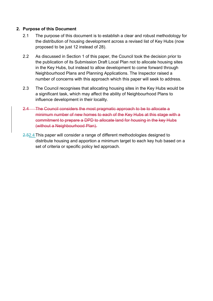## **2. Purpose of this Document**

- 2.1 The purpose of this document is to establish a clear and robust methodology for the distribution of housing development across a revised list of Key Hubs (now proposed to be just 12 instead of 28).
- 2.2 As discussed in Section 1 of this paper, the Council took the decision prior to the publication of its Submission Draft Local Plan not to allocate housing sites in the Key Hubs, but instead to allow development to come forward through Neighbourhood Plans and Planning Applications. The Inspector raised a number of concerns with this approach which this paper will seek to address.
- 2.3 The Council recognises that allocating housing sites in the Key Hubs would be a significant task, which may affect the ability of Neighbourhood Plans to influence development in their locality.
- 2.4 The Council considers the most pragmatic approach to be to allocate a minimum number of new homes to each of the Key Hubs at this stage with a commitment to prepare a DPD to allocate land for housing in the key Hubs (without a Neighbourhood Plan).
- 2.52.4 This paper will consider a range of different methodologies designed to distribute housing and apportion a minimum target to each key hub based on a set of criteria or specific policy led approach.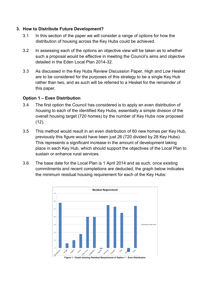## **3. How to Distribute Future Development?**

- 3.1 In this section of the paper we will consider a range of options for how the distribution of housing across the Key Hubs could be achieved.
- 3.2 In assessing each of the options an objective view will be taken as to whether such a proposal would be effective in meeting the Council's aims and objective detailed in the Eden Local Plan 2014-32.
- 3.3 As discussed in the Key Hubs Review Discussion Paper, High and Low Hesket are to be considered for the purposes of this strategy to be a single Key Hub rather than two, and as such will be referred to a Hesket for the remainder of this paper.

# **Option 1 – Even Distribution**

- 3.4 The first option the Council has considered is to apply an even distribution of housing to each of the identified Key Hubs, essentially a simple division of the overall housing target (720 homes) by the number of Key Hubs now proposed  $(12)$ .
- 3.5 This method would result in an even distribution of 60 new homes per Key Hub, previously this figure would have been just 26 (720 divided by 28 Key Hubs). This represents a significant increase in the amount of development taking place in each Key Hub, which should support the objectives of the Local Plan to sustain or enhance rural services.
- 3.6 The base date for the Local Plan is 1 April 2014 and as such, once existing commitments and recent completions are deducted, the graph below indicates the minimum residual housing requirement for each of the Key Hubs:

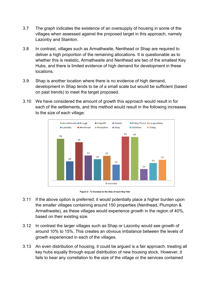- 3.7 The graph indicates the existence of an oversupply of housing in some of the villages when assessed against the proposed target in this approach, namely Lazonby and Stainton.
- 3.8 In contrast, villages such as Armathwaite, Nenthead or Shap are required to deliver a high proportion of the remaining allocations. It is questionable as to whether this is realistic, Armathwaite and Nenthead are two of the smallest Key Hubs, and there is limited evidence of high demand for development in these locations.
- 3.9 Shap is another location where there is no evidence of high demand, development in Shap tends to be of a small scale but would be sufficient (based on past trends) to meet the target proposed.
- 3.10 We have considered the amount of growth this approach would result in for each of the settlements, and this method would result in the following increases to the size of each village:





- 3.11 If the above option is preferred, it would potentially place a higher burden upon the smaller villages containing around 150 properties (Nenthead, Plumpton & Armathwaite), as these villages would experience growth in the region of 40%, based on their existing size.
- 3.12 In contrast the larger villages such as Shap or Lazonby would see growth of around 10% to 15%. This creates an obvious imbalance between the levels of growth experienced in each of the villages.
- 3.13 An even distribution of housing, it could be argued is a fair approach, treating all key hubs equally through equal distribution of new housing stock. However, it fails to bear any correllation to the size of the village or the services contained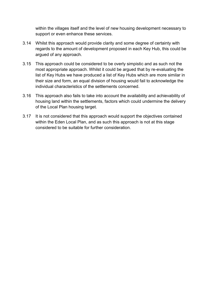within the villages itself and the level of new housing development necessary to support or even enhance these services.

- 3.14 Whilst this approach would provide clarity and some degree of certainty with regards to the amount of development proposed in each Key Hub, this could be argued of any approach.
- 3.15 This approach could be considered to be overly simpistic and as such not the most appropriate approach. Whilst it could be argued that by re-evaluating the list of Key Hubs we have produced a list of Key Hubs which are more similar in their size and form, an equal division of housing would fail to acknowledge the individual characteristics of the settlements concerned.
- 3.16 This approach also fails to take into account the availability and achievability of housing land within the settlements, factors which could undermine the delivery of the Local Plan housing target.
- 3.17 It is not considered that this approach would support the objectives contained within the Eden Local Plan, and as such this approach is not at this stage considered to be suitable for further consideration.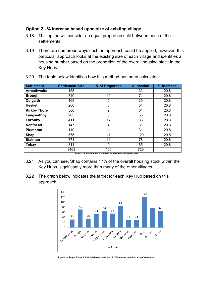## **Option 2 - % increase based upon size of existing village**

- 3.18 This option will consider an equal proportion split between each of the settlements.
- 3.19 There are numerous ways such an approach could be applied, however, this particular approach looks at the existing size of each village and identifies a housing number based on the proportion of the overall housing stock in the Key Hubs.

| <b>Settlement</b>   | <b>Settlement Size</b> | % of Properties | <b>Allocation</b> | % Increase |
|---------------------|------------------------|-----------------|-------------------|------------|
| Armathwaite         | 155                    | 4               | 32                | 20.8       |
| <b>Brough</b>       | 340                    | 10              | 71                | 20.8       |
| Culgaith            | 169                    | 5               | 35                | 20.8       |
| <b>Hesket</b>       | 260                    | 8               | 54                | 20.8       |
| <b>Kirkby Thore</b> | 306                    | 9               | 64                | 20.8       |
| Langwathby          | 263                    | 8               | 55                | 20.8       |
| Lazonby             | 411                    | 12              | 85                | 20.8       |
| <b>Nenthead</b>     | 147                    | 4               | 31                | 20.8       |
| <b>Plumpton</b>     | 149                    | 4               | 31                | 20.8       |
| <b>Shap</b>         | 575                    | 17              | 120               | 20.8       |
| <b>Stainton</b>     | 374                    | 11              | 78                | 20.8       |
| Tebay               | 314                    | 9               | 65                | 20.8       |
|                     | 3463                   | 100             | 720               |            |

3.20 The table below identifies how this method has been calculated:

- 3.21 As you can see, Shap contains 17% of the overall housing stock within the Key Hubs, significantly more than many of the other villages.
- 3.22 The graph below indicates the target for each Key Hub based on this approach:



**Figure 3 – Target for each Key Hub based on Option 2 - % increase based on size of settlement** 

**Table 1 - Calculation of a % increase based on settlement size**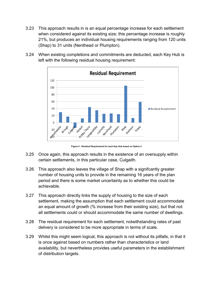3.23 This approach results in is an equal percentage increase for each settlement when considered against its existing size; this percentage increase is roughly 21%, but produces an individual housing requirements ranging from 120 units (Shap) to 31 units (Nenthead or Plumpton).



3.24 When existing completions and commitments are deducted, each Key Hub is left with the following residual housing requirement:

**Figure 4 - Residual Requirement for each Key Hub based on Option 2** 

- 3.25 Once again, this approach results in the existence of an oversupply within certain settlements, in this particular case, Culgaith.
- 3.26 This approach also leaves the village of Shap with a signifcantly greater number of housing units to provide in the remaining 16 years of the plan period and there is some market uncertainty as to whether this could be achievable.
- 3.27 This approach directly links the supply of housing to the size of each settlement, making the assumption that each settlement could accommodate an equal amount of growth (% increase from their existing size), but that not all settlements could or should accommodate the same number of dwellings.
- 3.28 The residual requirement for each settlement, notwithstanding rates of past delivery is considered to be more appropriate in terms of scale.
- 3.29 Whilst this might seem logical, this approach is not without its pitfalls, in that it is once against based on numbers rather than characteristics or land availability, but nevertheless provides useful parameters in the establishment of distribution targets.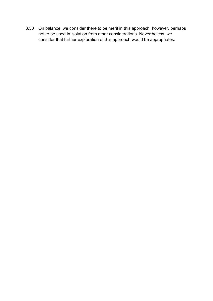3.30 On balance, we consider there to be merit in this approach, however, perhaps not to be used in isolation from other considerations. Nevertheless, we consider that further exploration of this approach would be appropriates.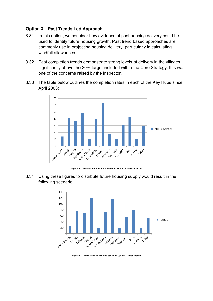## **Option 3 – Past Trends Led Approach**

- 3.31 In this option, we consider how evidence of past housing delivery could be used to identify future housing growth. Past trend based approaches are commonly use in projecting housing delivery, particularly in calculating windfall allowances.
- 3.32 Past completion trends demonstrate strong levels of delivery in the villages, significantly above the 20% target included within the Core Strategy, this was one of the concerns raised by the Inspector.
- 3.33 The table below outlines the completion rates in each of the Key Hubs since April 2003:



**Figure 5 - Completion Rates in the Key Hubs (April 2003-March 2016)** 

3.34 Using these figures to distribute future housing supply would result in the following scenario:



**Figure 6 - Target for each Key Hub based on Option 3 - Past Trends**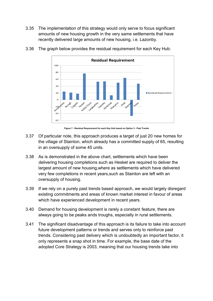3.35 The implementation of this strategy would only serve to focus significant amounts of new housing growth in the very same settlements that have recently delivered large amounts of new housing, i.e. Lazonby.



3.36 The graph below provides the residual requirement for each Key Hub:

**Figure 7 - Residual Requirement for each Key Hub based on Option 3 - Past Trends** 

- 3.37 Of particular note, this approach produces a target of just 20 new homes for the village of Stainton, which already has a committed supply of 65, resulting in an oversupply of some 45 units.
- 3.38 As is demonstrated in the above chart, settlements which have been delivering housing completions such as Hesket are required to deliver the largest amount of new housing,where as settlements which have delivered very few completions in recent years,such as Stainton are left with an oversupply of housing.
- 3.39 If we rely on a purely past trends based approach, we would largely disregard existing commitments and areas of known market interest in favour of areas which have experienced development in recent years.
- 3.40 Demand for housing development is rarely a constant feature, there are always going to be peaks ands troughs, especially in rural settlements.
- 3.41 The significant disadvantage of this approach is its failure to take into account future development patterns or trends and serves only to reinforce past trends. Considering past delivery which is undoubtedly an important factor, it only represents a snap shot in time. For example, the base date of the adopted Core Strategy is 2003, meaning that our housing trends take into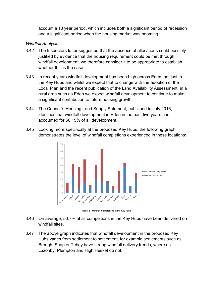account a 13 year period, which includes both a significant period of recession and a significant period when the housing market was booming.

## *Windfall Analysis*

- 3.42 The Inspectors letter suggested that the absence of allocations could possibly justified by evidence that the housing requirement could be met through windfall development, we therefore consider it to be appropriate to establish whether this is the case.
- 3.43 In recent years windfall development has been high across Eden, not just in the Key Hubs and whilst we expect that to change with the adoption of the Local Plan and the recent publication of the Land Availability Assessment, in a rural area such as Eden we expect windfall development to continue to make a significant contribution to future housing growth.
- 3.44 The Council's Housing Land Supply Satement, published in July 2016, identifies that windfall development in Eden in the past five years has accounted for 58.15% of all development.
- 3.45 Looking more specifically at the proposed Key Hubs, the following graph demonstrates the level of windfall completions experienced in these locations:



**Figure 8 - Windfall Completions in the Key Hubs** 

- 3.46 On average, 50.7% of all compeltions in the Key Hubs have been delivered on windfall sites.
- 3.47 The above graph indicates that windfall development in the proposed Key Hubs varies from settlement to settlement, for example settlements such as Brough, Shap or Tebay have strong windfall delivery trends, where as Lazonby, Plumpton and High Hesket do not.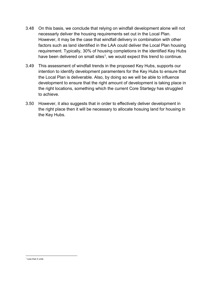- 3.48 On this basis, we conclude that relying on windfall development alone will not necessarly deliver the housing requirements set out in the Local Plan. However, it may be the case that windfall delivery in combination with other factors such as land identified in the LAA could deliver the Local Plan housing requirement. Typically, 30% of housing completions in the identified Key Hubs have been delivered on small sites<sup>1</sup>, we would expect this trend to continue.
- 3.49 This assessment of windfall trends in the proposed Key Hubs, supports our intention to identify development paramenters for the Key Hubs to ensure that the Local Plan is deliverable. Also, by doing so we will be able to influence development to ensure that the right amount of development is taking place in the right locations, something which the current Core Startegy has struggled to achieve.
- 3.50 However, it also suggests that in order to effectively deliver development in the right place then it will be necessary to allocate hosuing land for housing in the Key Hubs.

 1 Less than 4 units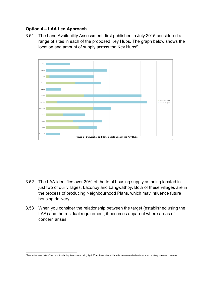# **Option 4 – LAA Led Approach**

3.51 The Land Availability Assessment, first published in July 2015 considered a range of sites in each of the proposed Key Hubs. The graph below shows the location and amount of supply across the Key Hubs<sup>2</sup>.



- 3.52 The LAA identifies over 30% of the total housing supply as being located in just two of our villages, Lazonby and Langwathby. Both of these villages are in the process of producing Neighbourhood Plans, which may influence future housing delivery.
- 3.53 When you consider the relationship between the target (established using the LAA) and the residual requirement, it becomes apparent where areas of concern arises.

 $^2$  Due to the base date of the Land Availability Assessment being April 2014, these sites will include some recently developed sites i.e. Story Homes at Lazonby.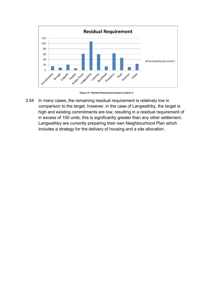

**Figure 10 - Residual Requirement based on Option 4** 

3.54 In many cases, the remaining residual requirement is relatively low in comparison to the target, however, in the case of Langwathby, the target is high and existing commitments are low, resulting in a residual requirement of in excess of 100 units, this is significantly greater than any other settlement. Langwathby are currently preparing their own Neighbourhood Plan which includes a strategy for the delivery of housing and a site allocation.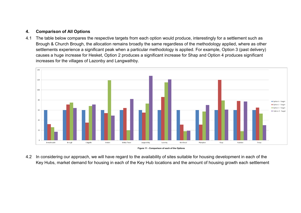## **4. Comparison of All Options**

4.1 The table below compares the respective targets from each option would produce, interestingly for a settlement such as Brough & Church Brough, the allocation remains broadly the same regardless of the methodology applied, where as other settlements experience a significant peak when a particular methodology is applied. For example, Option 3 (past delivery) causes a huge increase for Hesket, Option 2 produces a significant increase for Shap and Option 4 produces significant increases for the villages of Lazonby and Langwathby.



**Figure 11 - Comparison of each of the Options** 

4.2 In considering our approach, we will have regard to the availability of sites suitable for housing development in each of the Key Hubs, market demand for housing in each of the Key Hub locations and the amount of housing growth each settlement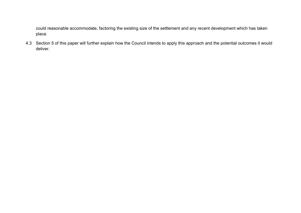could reasonable accommodate, factoring the existing size of the settlement and any recent development which has taken place.

4.3 Section 5 of this paper will further explain how the Council intends to apply this approach and the potential outcomes it would deliver.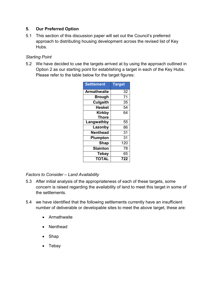# **5. Our Preferred Option**

5.1 This section of this discussion paper will set out the Council's preferred approach to distributing housing development across the revised list of Key Hubs.

## *Starting Point*

5.2 We have decided to use the targets arrived at by using the approach outlined in Option 2 as our starting point for establishing a target in each of the Key Hubs. Please refer to the table below for the target figures:

| <b>Settlement</b>  | <b>Target</b> |
|--------------------|---------------|
| <b>Armathwaite</b> | 32            |
| <b>Brough</b>      | 71            |
| Culgaith           | 35            |
| <b>Hesket</b>      | 54            |
| <b>Kirkby</b>      | 64            |
| <b>Thore</b>       |               |
| Langwathby         | 55            |
| Lazonby            | 86            |
| <b>Nenthead</b>    | 31            |
| Plumpton           | 31            |
| Shap               | 120           |
| <b>Stainton</b>    | 78            |
| <b>Tebay</b>       | 65            |
| <b>TOTAL</b>       | 722           |

## *Factors to Consider – Land Availability*

- 5.3 After initial analysis of the appropriateness of each of these targets, some concern is raised regarding the availability of land to meet this target in some of the settlements.
- 5.4 we have identified that the following settlements currently have an insufficient number of deliverable or developable sites to meet the above target, these are:
	- **•** Armathwaite
	- Nenthead
	- Shap
	- Tebay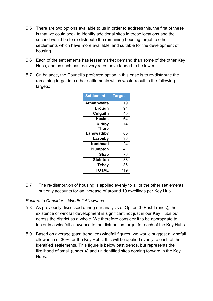- 5.5 There are two options available to us in order to address this, the first of these is that we could seek to identify additional sites in these locations and the second would be to re-distribute the remaining housing target to other settlements which have more available land suitable for the development of housing.
- 5.6 Each of the settlements has lesser market demand than some of the other Key Hubs, and as such past delivery rates have tended to be lower.
- 5.7 On balance, the Council's preferred option in this case is to re-distribute the remaining target into other settlements which would result in the following targets:

| <b>Settlement</b>  | <b>Target</b> |
|--------------------|---------------|
| <b>Armathwaite</b> | 19            |
| <b>Brough</b>      | 91            |
| Culgaith           | 45            |
| <b>Hesket</b>      | 64            |
| <b>Kirkby</b>      | 74            |
| <b>Thore</b>       |               |
| Langwathby         | 65            |
| Lazonby            | 96            |
| <b>Nenthead</b>    | 24            |
| Plumpton           | 41            |
| <b>Shap</b>        | 76            |
| <b>Stainton</b>    | 88            |
| Tebay              | 36            |
| <b>TOTAL</b>       | 719           |

5.7 The re-distribution of housing is applied evenly to all of the other settlements, but only accounts for an increase of around 10 dwellings per Key Hub.

## *Factors to Consider – Windfall Allowance*

- 5.8 As previously discussed during our analysis of Option 3 (Past Trends), the existence of windfall development is significant not just in our Key Hubs but across the district as a whole. We therefore consider it to be appropriate to factor in a windfall allowance to the distribution target for each of the Key Hubs.
- 5.9 Based on average (past trend led) windfall figures, we would suggest a windfall allowance of 30% for the Key Hubs, this will be applied evenly to each of the identified settlements. This figure is below past trends, but represents the likelihood of small (under 4) and unidentified sites coming forward in the Key **Hubs**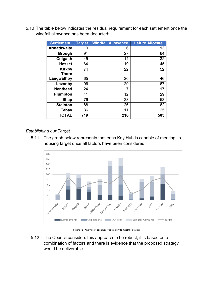| <b>Settlement</b>  | <b>Target</b> | <b>Windfall Allowance</b> | <b>Left to Allocate</b> |
|--------------------|---------------|---------------------------|-------------------------|
| <b>Armathwaite</b> | 19            | 6                         | 13                      |
| <b>Brough</b>      | 91            | 27                        | 64                      |
| Culgaith           | 45            | 14                        | 32                      |
| <b>Hesket</b>      | 64            | 19                        | 45                      |
| <b>Kirkby</b>      | 74            | 22                        | 52                      |
| <b>Thore</b>       |               |                           |                         |
| Langwathby         | 65            | 20                        | 46                      |
| Lazonby            | 96            | 29                        | 67                      |
| <b>Nenthead</b>    | 24            | 7                         | 17                      |
| Plumpton           | 41            | 12                        | 29                      |
| <b>Shap</b>        | 76            | 23                        | 53                      |
| <b>Stainton</b>    | 88            | 26                        | 62                      |
| <b>Tebay</b>       | 36            | 11                        | 25                      |
| <b>TOTAL</b>       | 719           | 216                       | 503                     |

5.10 The table below indicates the residual requirement for each settlement once the windfall allowance has been deducted:

## *Establishing our Target*

5.11 The graph below represents that each Key Hub is capable of meeting its housing target once all factors have been considered.



**Figure 12 - Analysis of each Key Hub's ability to meet their target** 

5.12 The Council considers this approach to be robust, it is based on a combination of factors and there is evidence that the proposed strategy would be deliverable.